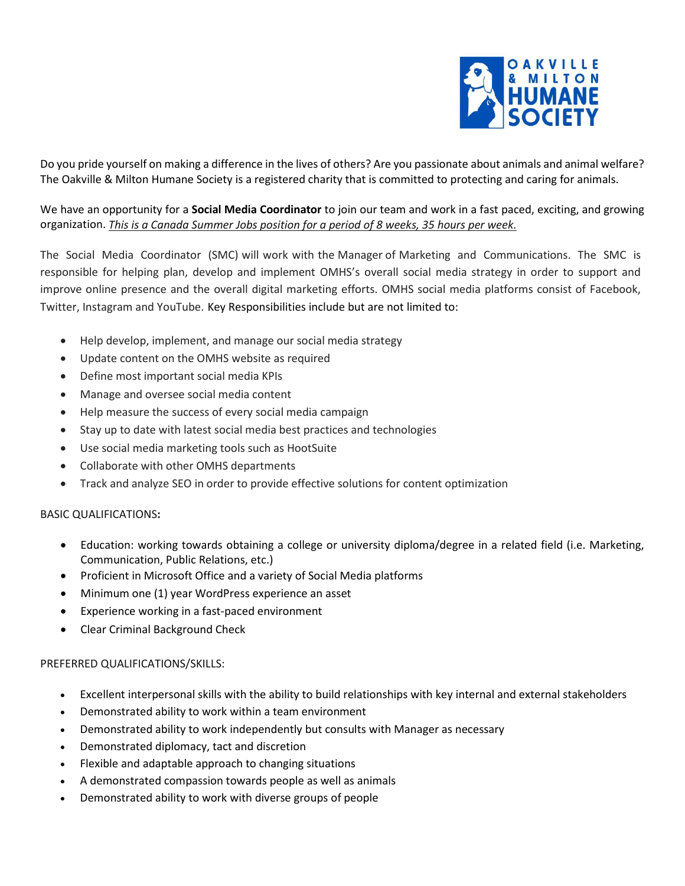

Do you pride yourself on making a difference in the lives of others? Are you passionate about animals and animal welfare? The Oakville & Milton Humane Society is a registered charity that is committed to protecting and caring for animals.

We have an opportunity for a **Social Media Coordinator** to join our team and work in a fast paced, exciting, and growing organization. *This is a Canada Summer Jobs position for a period of 8 weeks, 35 hours per week.*

The Social Media Coordinator (SMC) will work with the Manager of Marketing and Communications. The SMC is responsible for helping plan, develop and implement OMHS's overall social media strategy in order to support and improve online presence and the overall digital marketing efforts. OMHS social media platforms consist of Facebook, Twitter, Instagram and YouTube. Key Responsibilities include but are not limited to:

- Help develop, implement, and manage our social media strategy
- Update content on the OMHS website as required
- Define most important social media KPIs
- Manage and oversee social media content
- Help measure the success of every social media campaign
- Stay up to date with latest social media best practices and technologies
- Use social media marketing tools such as HootSuite
- Collaborate with other OMHS departments
- Track and analyze SEO in order to provide effective solutions for content optimization

# BASIC QUALIFICATIONS**:**

- Education: working towards obtaining a college or university diploma/degree in a related field (i.e. Marketing, Communication, Public Relations, etc.)
- Proficient in Microsoft Office and a variety of Social Media platforms
- Minimum one (1) year WordPress experience an asset
- Experience working in a fast-paced environment
- Clear Criminal Background Check

# PREFERRED QUALIFICATIONS/SKILLS:

- Excellent interpersonal skills with the ability to build relationships with key internal and external stakeholders
- Demonstrated ability to work within a team environment
- Demonstrated ability to work independently but consults with Manager as necessary
- Demonstrated diplomacy, tact and discretion
- Flexible and adaptable approach to changing situations
- A demonstrated compassion towards people as well as animals
- Demonstrated ability to work with diverse groups of people